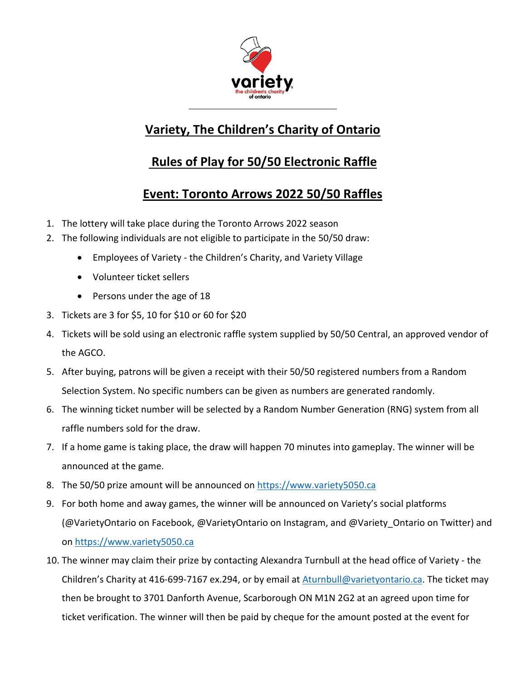

## **Variety, The Children's Charity of Ontario**

## **Rules of Play for 50/50 Electronic Raffle**

## **Event: Toronto Arrows 2022 50/50 Raffles**

- 1. The lottery will take place during the Toronto Arrows 2022 season
- 2. The following individuals are not eligible to participate in the 50/50 draw:
	- Employees of Variety the Children's Charity, and Variety Village
	- Volunteer ticket sellers
	- Persons under the age of 18
- 3. Tickets are 3 for \$5, 10 for \$10 or 60 for \$20
- 4. Tickets will be sold using an electronic raffle system supplied by 50/50 Central, an approved vendor of the AGCO.
- 5. After buying, patrons will be given a receipt with their 50/50 registered numbers from a Random Selection System. No specific numbers can be given as numbers are generated randomly.
- 6. The winning ticket number will be selected by a Random Number Generation (RNG) system from all raffle numbers sold for the draw.
- 7. If a home game is taking place, the draw will happen 70 minutes into gameplay. The winner will be announced at the game.
- 8. The 50/50 prize amount will be announced on [https://www.variety5050.ca](https://www.variety5050.ca/)
- 9. For both home and away games, the winner will be announced on Variety's social platforms (@VarietyOntario on Facebook, @VarietyOntario on Instagram, and @Variety\_Ontario on Twitter) and on [https://www.variety5050.ca](https://www.variety5050.ca/)
- 10. The winner may claim their prize by contacting Alexandra Turnbull at the head office of Variety the Children's Charity at 416-699-7167 ex.294, or by email at Aturnbull@varietyontario.ca. The ticket may then be brought to 3701 Danforth Avenue, Scarborough ON M1N 2G2 at an agreed upon time for ticket verification. The winner will then be paid by cheque for the amount posted at the event for